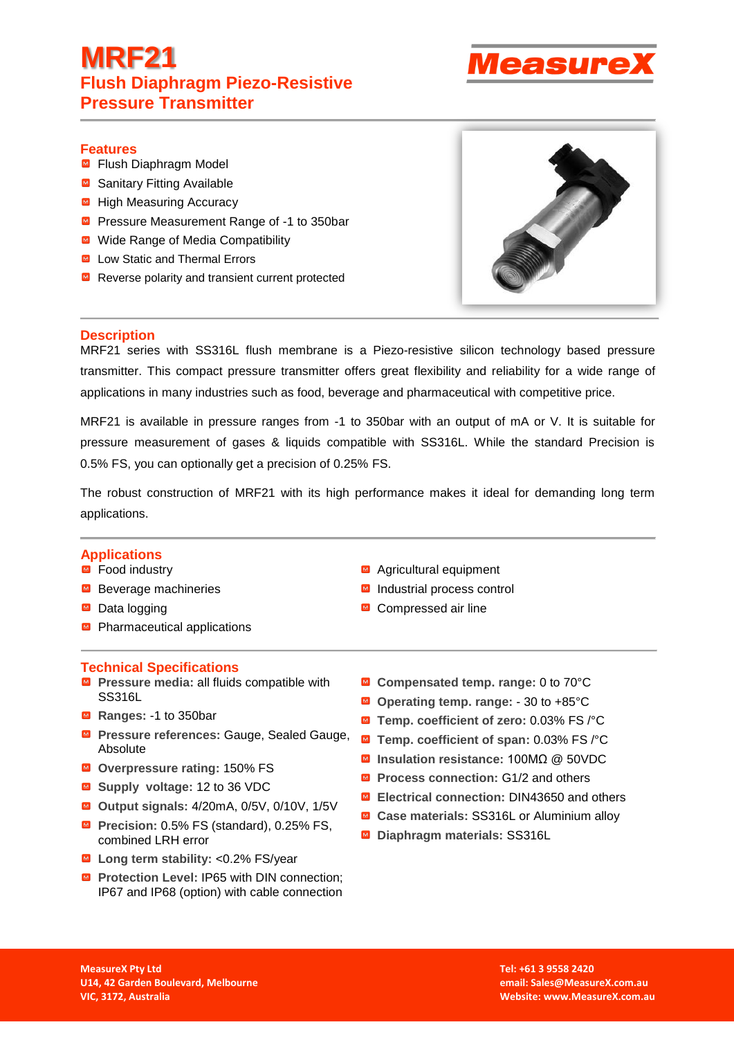# **MRF21 Flush Diaphragm Piezo-Resistive Pressure Transmitter**



### **Features**

- Flush Diaphragm Model
- Sanitary Fitting Available
- $\blacksquare$  High Measuring Accuracy
- **Pressure Measurement Range of -1 to 350bar**
- Wide Range of Media Compatibility
- Low Static and Thermal Errors
- Reverse polarity and transient current protected



### **Description**

MRF21 series with SS316L flush membrane is a Piezo-resistive silicon technology based pressure transmitter. This compact pressure transmitter offers great flexibility and reliability for a wide range of applications in many industries such as food, beverage and pharmaceutical with competitive price.

MRF21 is available in pressure ranges from -1 to 350bar with an output of mA or V. It is suitable for pressure measurement of gases & liquids compatible with SS316L. While the standard Precision is 0.5% FS, you can optionally get a precision of 0.25% FS.

The robust construction of MRF21 with its high performance makes it ideal for demanding long term applications.

### **Applications**

- $\blacksquare$  Food industry
- Beverage machineries
- Data logging
- Pharmaceutical applications

#### **Technical Specifications**

- **Pressure media: all fluids compatible with** SS316L
- **Ranges:** -1 to 350bar
- **Pressure references: Gauge, Sealed Gauge,** Absolute
- **Overpressure rating:** 150% FS
- **Supply voltage:** 12 to 36 VDC
- **Output signals:** 4/20mA, 0/5V, 0/10V, 1/5V
- **Precision:** 0.5% FS (standard), 0.25% FS, combined LRH error
- **Long term stability:** <0.2% FS/year
- **Protection Level: IP65 with DIN connection:** IP67 and IP68 (option) with cable connection
- Agricultural equipment
- Industrial process control
- Compressed air line
- **Compensated temp. range:** 0 to 70°C
- **Operating temp. range:** 30 to +85°C
- **Temp. coefficient of zero:** 0.03% FS /°C
- **Temp. coefficient of span:** 0.03% FS /°C
- **Insulation resistance:** 100MΩ @ 50VDC
- **Process connection: G1/2 and others**
- **Electrical connection:** DIN43650 and others
- Case materials: SS316L or Aluminium alloy
- **Diaphragm materials:** SS316L